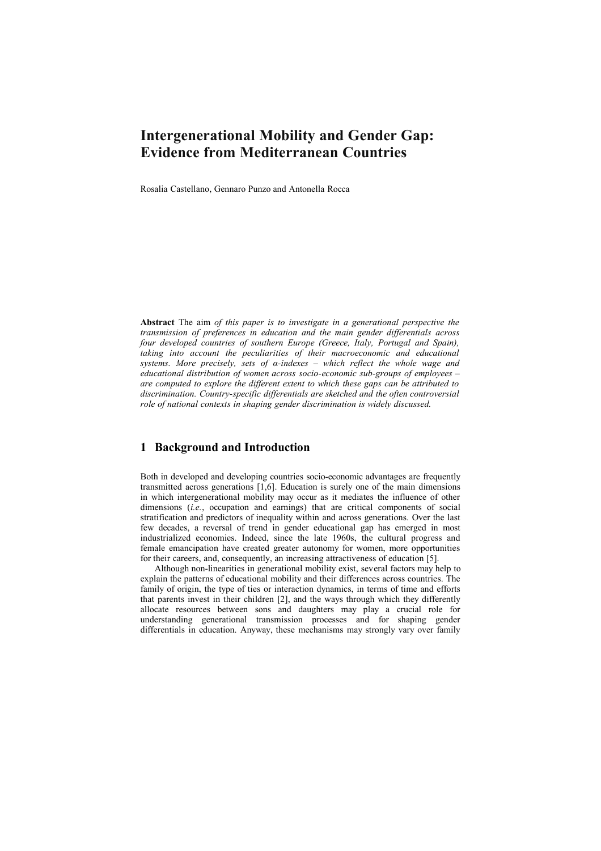# **Intergenerational Mobility and Gender Gap: Evidence from Mediterranean Countries**

Rosalia Castellano, Gennaro Punzo and Antonella Rocca

**Abstract** The aim *of this paper is to investigate in a generational perspective the transmission of preferences in education and the main gender differentials across four developed countries of southern Europe (Greece, Italy, Portugal and Spain), taking into account the peculiarities of their macroeconomic and educational systems. More precisely, sets of α-indexes – which reflect the whole wage and educational distribution of women across socio-economic sub-groups of employees – are computed to explore the different extent to which these gaps can be attributed to discrimination. Country-specific differentials are sketched and the often controversial role of national contexts in shaping gender discrimination is widely discussed.* 

# **1 Background and Introduction**

Both in developed and developing countries socio-economic advantages are frequently transmitted across generations [1,6]. Education is surely one of the main dimensions in which intergenerational mobility may occur as it mediates the influence of other dimensions (*i.e.*, occupation and earnings) that are critical components of social stratification and predictors of inequality within and across generations. Over the last few decades, a reversal of trend in gender educational gap has emerged in most industrialized economies. Indeed, since the late 1960s, the cultural progress and female emancipation have created greater autonomy for women, more opportunities for their careers, and, consequently, an increasing attractiveness of education [5].

Although non-linearities in generational mobility exist, several factors may help to explain the patterns of educational mobility and their differences across countries. The family of origin, the type of ties or interaction dynamics, in terms of time and efforts that parents invest in their children [2], and the ways through which they differently allocate resources between sons and daughters may play a crucial role for understanding generational transmission processes and for shaping gender differentials in education. Anyway, these mechanisms may strongly vary over family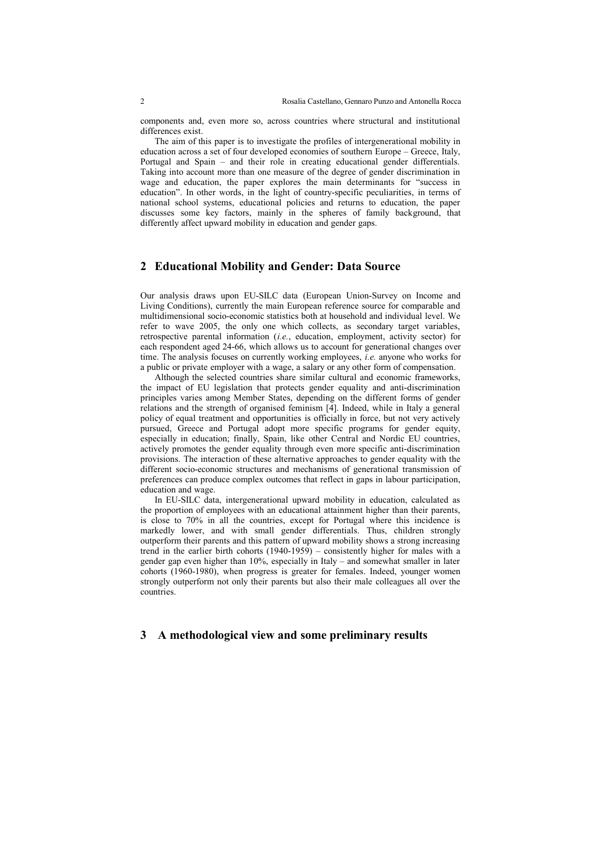components and, even more so, across countries where structural and institutional differences exist.

The aim of this paper is to investigate the profiles of intergenerational mobility in education across a set of four developed economies of southern Europe – Greece, Italy, Portugal and Spain – and their role in creating educational gender differentials. Taking into account more than one measure of the degree of gender discrimination in wage and education, the paper explores the main determinants for "success in education". In other words, in the light of country-specific peculiarities, in terms of national school systems, educational policies and returns to education, the paper discusses some key factors, mainly in the spheres of family background, that differently affect upward mobility in education and gender gaps.

#### **2 Educational Mobility and Gender: Data Source**

Our analysis draws upon EU-SILC data (European Union-Survey on Income and Living Conditions), currently the main European reference source for comparable and multidimensional socio-economic statistics both at household and individual level. We refer to wave 2005, the only one which collects, as secondary target variables, retrospective parental information (*i.e.*, education, employment, activity sector) for each respondent aged 24-66, which allows us to account for generational changes over time. The analysis focuses on currently working employees, *i.e.* anyone who works for a public or private employer with a wage, a salary or any other form of compensation.

Although the selected countries share similar cultural and economic frameworks, the impact of EU legislation that protects gender equality and anti-discrimination principles varies among Member States, depending on the different forms of gender relations and the strength of organised feminism [4]. Indeed, while in Italy a general policy of equal treatment and opportunities is officially in force, but not very actively pursued, Greece and Portugal adopt more specific programs for gender equity, especially in education; finally, Spain, like other Central and Nordic EU countries, actively promotes the gender equality through even more specific anti-discrimination provisions. The interaction of these alternative approaches to gender equality with the different socio-economic structures and mechanisms of generational transmission of preferences can produce complex outcomes that reflect in gaps in labour participation, education and wage.

In EU-SILC data, intergenerational upward mobility in education, calculated as the proportion of employees with an educational attainment higher than their parents, is close to 70% in all the countries, except for Portugal where this incidence is markedly lower, and with small gender differentials. Thus, children strongly outperform their parents and this pattern of upward mobility shows a strong increasing trend in the earlier birth cohorts  $(1940-1959)$  – consistently higher for males with a gender gap even higher than 10%, especially in Italy – and somewhat smaller in later cohorts (1960-1980), when progress is greater for females. Indeed, younger women strongly outperform not only their parents but also their male colleagues all over the countries.

## **3 A methodological view and some preliminary results**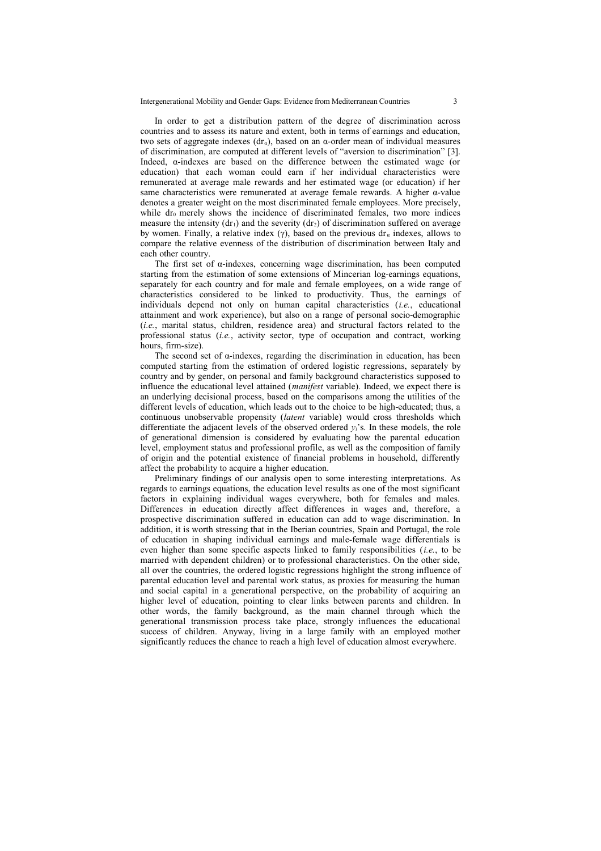In order to get a distribution pattern of the degree of discrimination across countries and to assess its nature and extent, both in terms of earnings and education, two sets of aggregate indexes  $(dr_a)$ , based on an  $\alpha$ -order mean of individual measures of discrimination, are computed at different levels of "aversion to discrimination" [3]. Indeed,  $\alpha$ -indexes are based on the difference between the estimated wage (or education) that each woman could earn if her individual characteristics were remunerated at average male rewards and her estimated wage (or education) if her same characteristics were remunerated at average female rewards. A higher α-value denotes a greater weight on the most discriminated female employees. More precisely, while  $dr_0$  merely shows the incidence of discriminated females, two more indices measure the intensity  $(dr_1)$  and the severity  $(dr_2)$  of discrimination suffered on average by women. Finally, a relative index (γ), based on the previous dr<sub>*a*</sub> indexes, allows to compare the relative evenness of the distribution of discrimination between Italy and each other country.

The first set of  $\alpha$ -indexes, concerning wage discrimination, has been computed starting from the estimation of some extensions of Mincerian log-earnings equations, separately for each country and for male and female employees, on a wide range of characteristics considered to be linked to productivity. Thus, the earnings of individuals depend not only on human capital characteristics (*i.e.*, educational attainment and work experience), but also on a range of personal socio-demographic (*i.e.*, marital status, children, residence area) and structural factors related to the professional status (*i.e.*, activity sector, type of occupation and contract, working hours, firm-size).

The second set of α-indexes, regarding the discrimination in education, has been computed starting from the estimation of ordered logistic regressions, separately by country and by gender, on personal and family background characteristics supposed to influence the educational level attained (*manifest* variable). Indeed, we expect there is an underlying decisional process, based on the comparisons among the utilities of the different levels of education, which leads out to the choice to be high-educated; thus, a continuous unobservable propensity (*latent* variable) would cross thresholds which differentiate the adjacent levels of the observed ordered  $v_i$ 's. In these models, the role of generational dimension is considered by evaluating how the parental education level, employment status and professional profile, as well as the composition of family of origin and the potential existence of financial problems in household, differently affect the probability to acquire a higher education.

Preliminary findings of our analysis open to some interesting interpretations. As regards to earnings equations, the education level results as one of the most significant factors in explaining individual wages everywhere, both for females and males. Differences in education directly affect differences in wages and, therefore, a prospective discrimination suffered in education can add to wage discrimination. In addition, it is worth stressing that in the Iberian countries, Spain and Portugal, the role of education in shaping individual earnings and male-female wage differentials is even higher than some specific aspects linked to family responsibilities (*i.e.*, to be married with dependent children) or to professional characteristics. On the other side, all over the countries, the ordered logistic regressions highlight the strong influence of parental education level and parental work status, as proxies for measuring the human and social capital in a generational perspective, on the probability of acquiring an higher level of education, pointing to clear links between parents and children. In other words, the family background, as the main channel through which the generational transmission process take place, strongly influences the educational success of children. Anyway, living in a large family with an employed mother significantly reduces the chance to reach a high level of education almost everywhere.